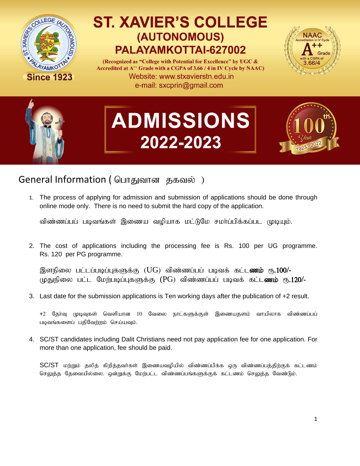

## **ST. XAVIER'S COLLEGE** (AUTONOMOUS) PALAYAMKOTTAI-627002

(Recognized as "College with Potential for Excellence" by UGC & Accredited at A<sup>++</sup> Grade with a CGPA of 3.66 / 4 in IV Cycle by NAAC) Website: www.stxavierstn.edu.in e-mail: sxcprin@gmail.com





# **ADMISSIONS** 2022-2023



### General Information ( பொதுவான தகவல் )

1. The process of applying for admission and submission of applications should be done through online mode only. There is no need to submit the hard copy of the application.

விண்ணப்பப் படிவங்கள் இணைய வழியாக மட்டுமே சமா்ப்பிக்கப்பட முடியும்.

2. The cost of applications including the processing fee is Rs. 100 per UG programme. Rs. 120 per PG programme.

இளநிலை பட்டப்படிப்புகளுக்கு (UG) விண்ணப்பப் படிவக் கட்ட**ணம்** ரூ**.100/-**முதுநிலை பட்ட மேற்படிப்புகளுக்கு (PG) விண்ணப்பப் படிவக் கட்ட**ணம்** ரூ.120/-

3. Last date for the submission applications is Ten working days after the publication of +2 result.

+2 தேர்வு முடிவுகள் வெளியான 10 வேலை நாட்களுக்குள் இணையதளம் வாயிலாக விண்ணப்பப் படிவங்களைப் பதிவேற்றம் செய்யவும்.

4. SC/ST candidates including Dalit Christians need not pay application fee for one application. For more than one application, fee should be paid.

 $SC/ST$  மற்றும் தலித் கிறித்தவர்கள் இணையவழியில் விண்ணப்பிக்க ஒரு விண்ணப்பத்திற்குக் கட்டணம் செலுத்த தேவையில்லை. ஒன்றுக்கு மேற்பட்ட விண்ணப்பங்களுக்குக் கட்டணம் செலுத்த வேண்டும்.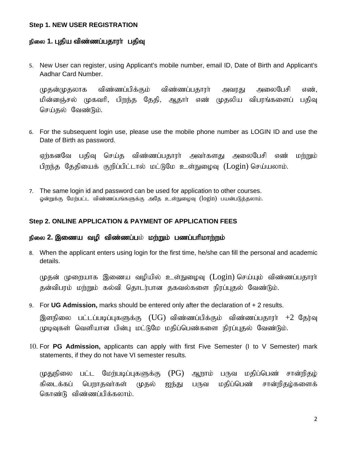#### **Step 1. NEW USER REGISTRATION**

#### நிலை 1. புதிய விண்ணப்பதாரா் பதிவு

5. New User can register, using Applicant's mobile number, email ID, Date of Birth and Applicant's Aadhar Card Number.

முதன்முதலாக விண்ணப்பிக்கும் விண்ணப்பதாரா் அவரது அலைபேசி எண், மின்னஞ்சல் முகவரி, பிறந்த தேதி, ஆதார் எண் முதலிய விபரங்களைப் பதிவு செய்தல் வேண்டும்.

6. For the subsequent login use, please use the mobile phone number as LOGIN ID and use the Date of Birth as password.

ஏற்கனவே பதிவு செய்த விண்ணப்பதாரா் அவா்களது அலைபேசி எண் மற்றும் பிறந்த தேதியைக் குறிப்பிட்டால் மட்டுமே உள்நுழைவு (Login) செய்யலாம்.

7. The same login id and password can be used for application to other courses. ஓன்றுக்கு மேற்பட்ட விண்ணப்பங்களுக்கு அதே உள்நுழைவு (login) பயன்படுத்தலாம்.

#### **Step 2. ONLINE APPLICATION & PAYMENT OF APPLICATION FEES**

#### நிலை **2. இணைய வழி விண்ணப்ப**ம் **மற்றும் பணப்பரிமாற்றம்**

8. When the applicant enters using login for the first time, he/she can fill the personal and academic details.

முதன் முறையாக இணைய வழியில் உள்நுழைவு (Login) செய்யும் விண்ணப்பதாரா் தன்விபரம் மற்றும் கல்வி தொடர்பான தகவல்களை நிரப்புதல் வேண்டும்.

9. For **UG Admission,** marks should be entered only after the declaration of + 2 results.

இளநிலை பட்டப்படிப்புகளுக்கு  $(UG)$  விண்ணப்பிக்கும் விண்ணப்பதாரா்  $+2$  கேர்வு முடிவுகள் வெளியான பின்பு மட்டுமே மதிப்பெண்களை நிரப்புதல் வேண்டும்.

10. For **PG Admission,** applicants can apply with first Five Semester (I to V Semester) mark statements, if they do not have VI semester results.

முதுநிலை பட்ட மேற்படிப்புகளுக்கு  $(PG)$  ஆறாம் பருவ மதிப்பெண் சான்றிதழ் கிடைக்கப் பெறாதவா்கள் முதல் ஐந்து பருவ மதிப்பெண் சான்றிதழ்களைக் கொண்டு விண்ணப்பிக்கலாம்.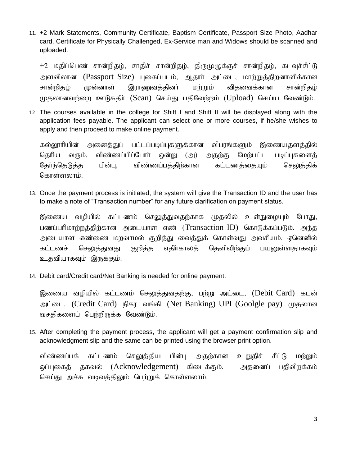11. +2 Mark Statements, Community Certificate, Baptism Certificate, Passport Size Photo, Aadhar card, Certificate for Physically Challenged, Ex-Service man and Widows should be scanned and uploaded.

+2 மதிப்பெண் சான்றிதழ், சாதிச் சான்றிதழ், திருமுழுக்குச் சான்றிதழ், கடவுச்சீட்டு அளவிலான (Passport Size) புகைப்படம், ஆதார் அட்டை, மாற்றுத்திறனாளிக்கான சான்றிதழ் முன்னாள் இராணுவத்தினா் மற்றும் விதவைக்கான சான்றிதழ் முதலானவற்றை ஊடுகதிர் (Scan) செய்து பதிவேற்றம் (Upload) செய்ய வேண்டும்.

12. The courses available in the college for Shift I and Shift II will be displayed along with the application fees payable. The applicant can select one or more courses, if he/she wishes to apply and then proceed to make online payment.

கல்லூரியின் அனைத்துப் பட்டப்படிப்புகளுக்கான விபரங்களும் இணையதளத்தில் தெரிய வரும். விண்ணப்பிப்போர் ஒன்று (அ) அதற்கு மேற்பட்ட படிப்புகளைத் தேர்ந்தெடுத்த பின்பு, விண்ணப்பத்திற்கான கட்டணத்தையும் செலுத்திக் கொள்ளலாம்.

13. Once the payment process is initiated, the system will give the Transaction ID and the user has to make a note of "Transaction number" for any future clarification on payment status.

இணைய வழியில் கட்டணம் செலுத்துவதற்காக முதலில் உள்நுழையும் போது, பணப்பரிமாற்றத்திற்கான அடையாள எண் (Transaction ID) கொடுக்கப்படும். அந்த அடையாள எண்ணை மறவாமல் குறித்து வைத்துக் கொள்வது அவசியம். ஏனெனில் கட்டணச் செலுத்துவது குறித்த எதிர்காலத் தெளிவிற்குப் பயனுள்ளதாகவும் உதவியாகவும் இருக்கும்.

14. Debit card/Credit card/Net Banking is needed for online payment.

இணைய வழியில் கட்டணம் செலுத்துவதற்கு, பற்று அட்டை, (Debit Card) கடன் அட்டை, (Credit Card) நிகர வங்கி (Net Banking) UPI (Goolgle pay) முதலான வசதிகளைப் பெற்றிருக்க வேண்டும்.

15. After completing the payment process, the applicant will get a payment confirmation slip and acknowledgment slip and the same can be printed using the browser print option.

விண்ணப்பக் கட்டணம் செலுத்திய பின்பு அதற்கான உறுதிச் சீட்டு மற்றும் ஒப்புகைத் தகவல் (Acknowledgement) கிடைக்கும். அதனைப் பதிவிறக்கம் செய்து அச்சு வடிவத்திலும் பெற்றுக் கொள்ளலாம்.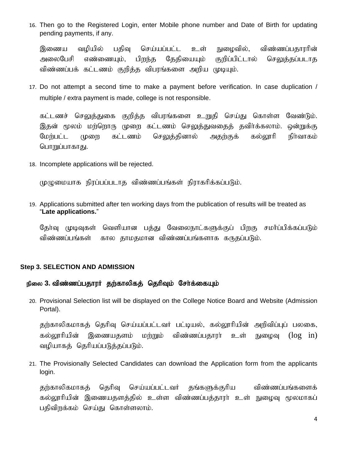16. Then go to the Registered Login, enter Mobile phone number and Date of Birth for updating pending payments, if any.

இணைய வழியில் பதிவு செய்யப்பட்ட உள் நுழைவில், விண்ணப்பதாரரின் அலைபேசி எண்ணையும், பிறந்த தேதியையும் குறிப்பிட்டால் செலுத்தப்படாத விண்ணப்பக் கட்டணம் குறிக்க விபரங்களை அறிய முடியும்.

17. Do not attempt a second time to make a payment before verification. In case duplication / multiple / extra payment is made, college is not responsible.

கட்டணச் செலுத்துகை குறித்த விபரங்களை உறுதி செய்து கொள்ள வேண்டும். இதன் மூலம் மற்றொரு முறை கட்டணம் செலுத்துவதைத் தவிர்க்கலாம். ஒன்றுக்கு மேற்பட்ட முறை கட்டணம் செலுத்தினால் அதற்குக் கல்லூரி நிர்வாகம் பொறுப்பாகாது.

18. Incomplete applications will be rejected.

முமுமையாக நிரப்பப்படாத விண்ணப்பங்கள் நிராகரிக்கப்படும்.

19. Applications submitted after ten working days from the publication of results will be treated as "**Late applications.**"

தேர்வு முடிவுகள் வெளியான பத்து வேலைநாட்களுக்குப் பிறகு சமர்ப்பிக்கப்படும் விண்ணப்பங்கள் கால தாமதமான விண்ணப்பங்களாக கருதப்படும்.

#### **Step 3. SELECTION AND ADMISSION**

#### நிலை 3. விண்ணப்பதாரர் தற்காலிகத் தெரிவும் சேர்க்கையும்

20. Provisional Selection list will be displayed on the College Notice Board and Website (Admission Portal).

தற்காலிகமாகத் தெரிவு செய்யப்பட்டவர் பட்டியல், கல்லூரியின் அறிவிப்புப் பலகை, கல்லூரியின் இணையதளம் மற்றும் விண்ணப்பதாரா் உள் நுழைவு ( $\log$  in) வழியாகத் தெரியப்படுத்தப்படும்.

21. The Provisionally Selected Candidates can download the Application form from the applicants login.

தற்காலிகமாகத் தெரிவு செய்யப்பட்டவர் தங்களுக்குரிய விண்ணப்பங்களைக் கல்லூரியின் இணையதளத்தில் உள்ள விண்ணப்பத்தாரா் உள் நுழைவு மூலமாகப் பதிவிறக்கம் செய்து கொள்ளலாம்.